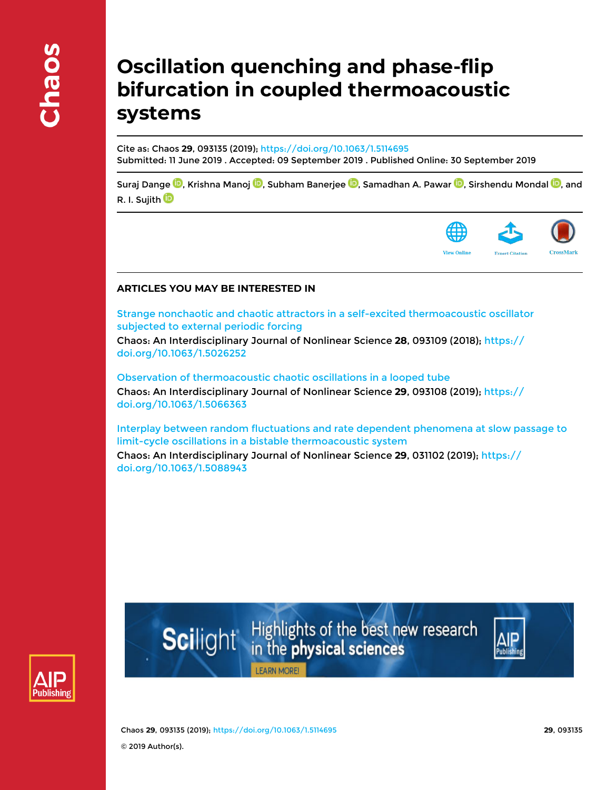# **Oscillation quenching and phase-flip bifurcation in coupled thermoacoustic systems**

Cite as: Chaos **29**, 093135 (2019); https://doi.org/10.1063/1.5114695 Submitted: 11 June 2019 . Accepted: 09 September 2019 . Published Online: 30 September 2019

Suraj Dange  $\textcircled{\textbf{D}}$ , Krishna Manoj  $\textcircled{\textbf{D}}$ , Subham Banerjee  $\textcircled{\textbf{D}}$ , Samadhan A. Pawar  $\textcircled{\textbf{D}}$ , Sirshendu Mondal  $\textcircled{\textbf{D}}$ , and R. I. Sujith<sup>10</sup>



## **ARTICLES YOU MAY BE INTERESTED IN**

Strange nonchaotic and chaotic attractors in a self-excited thermoacoustic oscillator subjected to external periodic forcing

Chaos: An Interdisciplinary Journal of Nonlinear Science **28**, 093109 (2018); https:// doi.org/10.1063/1.5026252

Observation of thermoacoustic chaotic oscillations in a looped tube

Chaos: An Interdisciplinary Journal of Nonlinear Science **29**, 093108 (2019); https:// doi.org/10.1063/1.5066363

Interplay between random fluctuations and rate dependent phenomena at slow passage to limit-cycle oscillations in a bistable thermoacoustic system

Chaos: An Interdisciplinary Journal of Nonlinear Science **29**, 031102 (2019); https:// doi.org/10.1063/1.5088943



Highlights of the best new research<br>in the **physical sciences Scilight** 



**LEARN MORE!** 

Chaos **29**, 093135 (2019); https://doi.org/10.1063/1.5114695 **29**, 093135 © 2019 Author(s).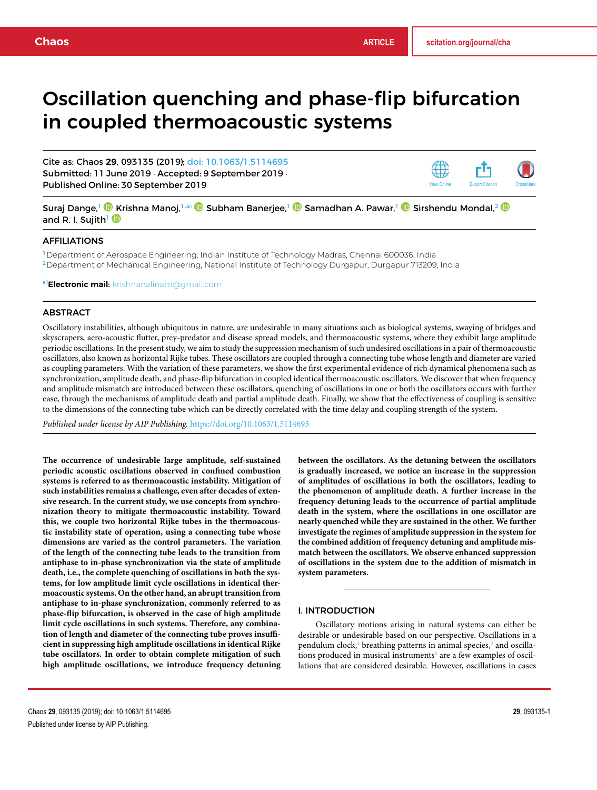# Oscillation quenching and phase-flip bifurcation in coupled thermoacoustic systems

Cite as: Chaos **29**, 093135 (2019); doi: 10.1063/1.5114695 Submitted: 11 June 2019 · Accepted: 9 September 2019 · Published Online: 30 September 2019



Suraj Dange,<sup>1</sup> © Krishna Manoj,<sup>1,a)</sup> © Subham Banerjee,<sup>1</sup> © Samadhan A. Pawar,<sup>1</sup> © Sirshendu Mondal,<sup>2</sup> © and R. I. Sujith<sup>1</sup>

#### AFFILIATIONS

<sup>1</sup>Department of Aerospace Engineering, Indian Institute of Technology Madras, Chennai 600036, India <sup>2</sup>Department of Mechanical Engineering, National Institute of Technology Durgapur, Durgapur 713209, India

a)**Electronic mail:** krishnanalinam@gmail.com

#### ABSTRACT

Oscillatory instabilities, although ubiquitous in nature, are undesirable in many situations such as biological systems, swaying of bridges and skyscrapers, aero-acoustic flutter, prey-predator and disease spread models, and thermoacoustic systems, where they exhibit large amplitude periodic oscillations. In the present study, we aim to study the suppression mechanism of such undesired oscillations in a pair of thermoacoustic oscillators, also known as horizontal Rijke tubes. These oscillators are coupled through a connecting tube whose length and diameter are varied as coupling parameters. With the variation of these parameters, we show the first experimental evidence of rich dynamical phenomena such as synchronization, amplitude death, and phase-flip bifurcation in coupled identical thermoacoustic oscillators. We discover that when frequency and amplitude mismatch are introduced between these oscillators, quenching of oscillations in one or both the oscillators occurs with further ease, through the mechanisms of amplitude death and partial amplitude death. Finally, we show that the effectiveness of coupling is sensitive to the dimensions of the connecting tube which can be directly correlated with the time delay and coupling strength of the system.

*Published under license by AIP Publishing.* https://doi.org/10.1063/1.5114695

**The occurrence of undesirable large amplitude, self-sustained periodic acoustic oscillations observed in confined combustion systems is referred to as thermoacoustic instability. Mitigation of such instabilities remains a challenge, even after decades of extensive research. In the current study, we use concepts from synchronization theory to mitigate thermoacoustic instability. Toward this, we couple two horizontal Rijke tubes in the thermoacoustic instability state of operation, using a connecting tube whose dimensions are varied as the control parameters. The variation of the length of the connecting tube leads to the transition from antiphase to in-phase synchronization via the state of amplitude death, i.e., the complete quenching of oscillations in both the systems, for low amplitude limit cycle oscillations in identical thermoacoustic systems. On the other hand, an abrupt transition from antiphase to in-phase synchronization, commonly referred to as phase-flip bifurcation, is observed in the case of high amplitude limit cycle oscillations in such systems. Therefore, any combination of length and diameter of the connecting tube proves insufficient in suppressing high amplitude oscillations in identical Rijke tube oscillators. In order to obtain complete mitigation of such high amplitude oscillations, we introduce frequency detuning** **between the oscillators. As the detuning between the oscillators is gradually increased, we notice an increase in the suppression of amplitudes of oscillations in both the oscillators, leading to the phenomenon of amplitude death. A further increase in the frequency detuning leads to the occurrence of partial amplitude death in the system, where the oscillations in one oscillator are nearly quenched while they are sustained in the other. We further investigate the regimes of amplitude suppression in the system for the combined addition of frequency detuning and amplitude mismatch between the oscillators. We observe enhanced suppression of oscillations in the system due to the addition of mismatch in system parameters.**

#### I. INTRODUCTION

Oscillatory motions arising in natural systems can either be desirable or undesirable based on our perspective. Oscillations in a pendulum clock,<sup>1</sup> breathing patterns in animal species,<sup>2</sup> and oscillations produced in musical instruments<sup>3</sup> are a few examples of oscillations that are considered desirable. However, oscillations in cases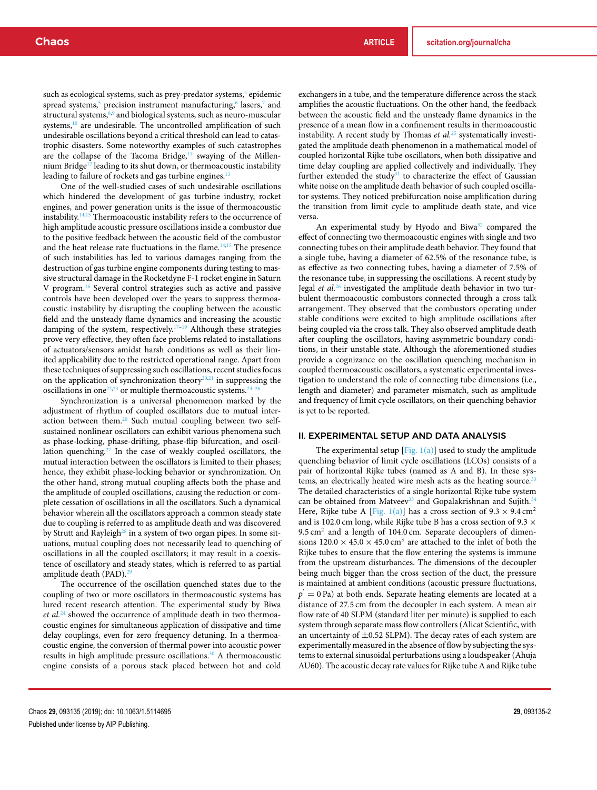such as ecological systems, such as prey-predator systems,<sup>4</sup> epidemic spread systems,<sup>5</sup> precision instrument manufacturing,<sup>6</sup> lasers,<sup>7</sup> and structural systems, 8,9 and biological systems, such as neuro-muscular systems,<sup>10</sup> are undesirable. The uncontrolled amplification of such undesirable oscillations beyond a critical threshold can lead to catastrophic disasters. Some noteworthy examples of such catastrophes are the collapse of the Tacoma Bridge, $11$  swaying of the Millennium Bridge<sup>12</sup> leading to its shut down, or thermoacoustic instability leading to failure of rockets and gas turbine engines.<sup>13</sup>

One of the well-studied cases of such undesirable oscillations which hindered the development of gas turbine industry, rocket engines, and power generation units is the issue of thermoacoustic instability.14,15 Thermoacoustic instability refers to the occurrence of high amplitude acoustic pressure oscillations inside a combustor due to the positive feedback between the acoustic field of the combustor and the heat release rate fluctuations in the flame.<sup>14,15</sup> The presence of such instabilities has led to various damages ranging from the destruction of gas turbine engine components during testing to massive structural damage in the Rocketdyne F-1 rocket engine in Saturn V program.<sup>16</sup> Several control strategies such as active and passive controls have been developed over the years to suppress thermoacoustic instability by disrupting the coupling between the acoustic field and the unsteady flame dynamics and increasing the acoustic damping of the system, respectively.<sup>17-19</sup> Although these strategies prove very effective, they often face problems related to installations of actuators/sensors amidst harsh conditions as well as their limited applicability due to the restricted operational range. Apart from these techniques of suppressing such oscillations, recent studies focus on the application of synchronization theory<sup>20,21</sup> in suppressing the oscillations in one<sup>22,23</sup> or multiple thermoacoustic systems.<sup>24</sup>

Synchronization is a universal phenomenon marked by the adjustment of rhythm of coupled oscillators due to mutual interaction between them.<sup>20</sup> Such mutual coupling between two selfsustained nonlinear oscillators can exhibit various phenomena such as phase-locking, phase-drifting, phase-flip bifurcation, and oscillation quenching.<sup>27</sup> In the case of weakly coupled oscillators, the mutual interaction between the oscillators is limited to their phases; hence, they exhibit phase-locking behavior or synchronization. On the other hand, strong mutual coupling affects both the phase and the amplitude of coupled oscillations, causing the reduction or complete cessation of oscillations in all the oscillators. Such a dynamical behavior wherein all the oscillators approach a common steady state due to coupling is referred to as amplitude death and was discovered by Strutt and Rayleigh<sup>28</sup> in a system of two organ pipes. In some situations, mutual coupling does not necessarily lead to quenching of oscillations in all the coupled oscillators; it may result in a coexistence of oscillatory and steady states, which is referred to as partial amplitude death (PAD).<sup>29</sup>

The occurrence of the oscillation quenched states due to the coupling of two or more oscillators in thermoacoustic systems has lured recent research attention. The experimental study by Biwa *et al.*<sup>24</sup> showed the occurrence of amplitude death in two thermoacoustic engines for simultaneous application of dissipative and time delay couplings, even for zero frequency detuning. In a thermoacoustic engine, the conversion of thermal power into acoustic power results in high amplitude pressure oscillations.<sup>30</sup> A thermoacoustic engine consists of a porous stack placed between hot and cold

exchangers in a tube, and the temperature difference across the stack amplifies the acoustic fluctuations. On the other hand, the feedback between the acoustic field and the unsteady flame dynamics in the presence of a mean flow in a confinement results in thermoacoustic instability. A recent study by Thomas *et al.*<sup>25</sup> systematically investigated the amplitude death phenomenon in a mathematical model of coupled horizontal Rijke tube oscillators, when both dissipative and time delay coupling are applied collectively and individually. They further extended the study $31$  to characterize the effect of Gaussian white noise on the amplitude death behavior of such coupled oscillator systems. They noticed prebifurcation noise amplification during the transition from limit cycle to amplitude death state, and vice versa.

An experimental study by Hyodo and Biwa<sup>32</sup> compared the effect of connecting two thermoacoustic engines with single and two connecting tubes on their amplitude death behavior. They found that a single tube, having a diameter of 62.5% of the resonance tube, is as effective as two connecting tubes, having a diameter of 7.5% of the resonance tube, in suppressing the oscillations. A recent study by Jegal *et al.*<sup>26</sup> investigated the amplitude death behavior in two turbulent thermoacoustic combustors connected through a cross talk arrangement. They observed that the combustors operating under stable conditions were excited to high amplitude oscillations after being coupled via the cross talk. They also observed amplitude death after coupling the oscillators, having asymmetric boundary conditions, in their unstable state. Although the aforementioned studies provide a cognizance on the oscillation quenching mechanism in coupled thermoacoustic oscillators, a systematic experimental investigation to understand the role of connecting tube dimensions (i.e., length and diameter) and parameter mismatch, such as amplitude and frequency of limit cycle oscillators, on their quenching behavior is yet to be reported.

#### II. EXPERIMENTAL SETUP AND DATA ANALYSIS

The experimental setup  $[Fig. 1(a)]$  used to study the amplitude quenching behavior of limit cycle oscillations (LCOs) consists of a pair of horizontal Rijke tubes (named as A and B). In these systems, an electrically heated wire mesh acts as the heating source.<sup>33</sup> The detailed characteristics of a single horizontal Rijke tube system can be obtained from Matveev<sup>33</sup> and Gopalakrishnan and Sujith.<sup>34</sup> Here, Rijke tube A [Fig. 1(a)] has a cross section of  $9.3 \times 9.4 \text{ cm}^2$ and is 102.0 cm long, while Rijke tube B has a cross section of 9.3  $\times$ 9.5 cm<sup>2</sup> and a length of 104.0 cm. Separate decouplers of dimensions  $120.0 \times 45.0 \times 45.0$  cm<sup>3</sup> are attached to the inlet of both the Rijke tubes to ensure that the flow entering the systems is immune from the upstream disturbances. The dimensions of the decoupler being much bigger than the cross section of the duct, the pressure is maintained at ambient conditions (acoustic pressure fluctuations,  $p' = 0$  Pa) at both ends. Separate heating elements are located at a distance of 27.5 cm from the decoupler in each system. A mean air flow rate of 40 SLPM (standard liter per minute) is supplied to each system through separate mass flow controllers (Alicat Scientific, with an uncertainty of  $\pm 0.52$  SLPM). The decay rates of each system are experimentally measured in the absence of flow by subjecting the systems to external sinusoidal perturbations using a loudspeaker (Ahuja AU60). The acoustic decay rate values for Rijke tube A and Rijke tube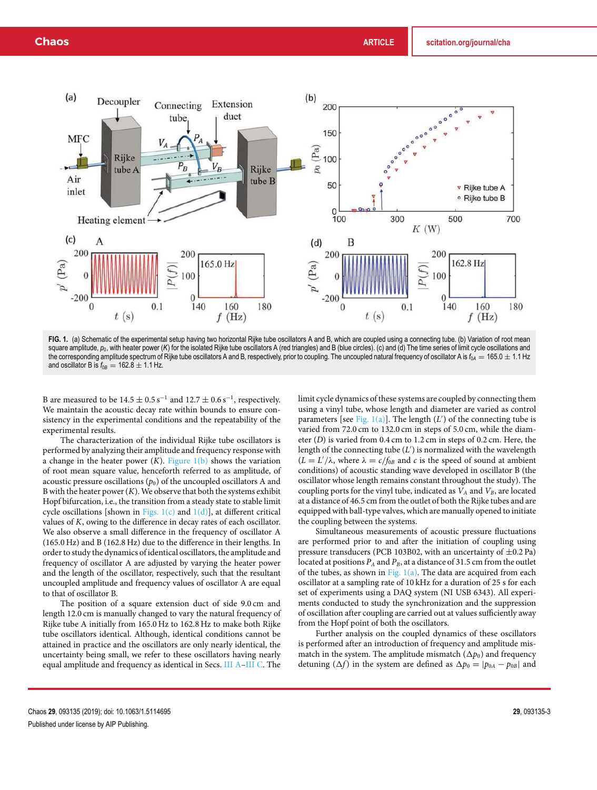

**FIG. 1.** (a) Schematic of the experimental setup having two horizontal Rijke tube oscillators A and B, which are coupled using a connecting tube. (b) Variation of root mean square amplitude,  $p_0$ , with heater power (*K*) for the isolated Rijke tube oscillators A (red triangles) and B (blue circles). (c) and (d) The time series of limit cycle oscillations and the corresponding amplitude spectrum of Rijke tube oscillators A and B, respectively, prior to coupling. The uncoupled natural frequency of oscillator A is  $f_{0A} = 165.0 \pm 1.1$  Hz and oscillator B is  $f_{0B} = 162.8 \pm 1.1$  Hz.

B are measured to be  $14.5 \pm 0.5$  s<sup>-1</sup> and  $12.7 \pm 0.6$  s<sup>-1</sup>, respectively. We maintain the acoustic decay rate within bounds to ensure consistency in the experimental conditions and the repeatability of the experimental results.

The characterization of the individual Rijke tube oscillators is performed by analyzing their amplitude and frequency response with a change in the heater power  $(K)$ . Figure  $1(b)$  shows the variation of root mean square value, henceforth referred to as amplitude, of acoustic pressure oscillations  $(p_0)$  of the uncoupled oscillators A and B with the heater power  $(K)$ . We observe that both the systems exhibit Hopf bifurcation, i.e., the transition from a steady state to stable limit cycle oscillations [shown in Figs.  $1(c)$  and  $1(d)$ ], at different critical values of *K*, owing to the difference in decay rates of each oscillator. We also observe a small difference in the frequency of oscillator A (165.0 Hz) and B (162.8 Hz) due to the difference in their lengths. In order to study the dynamics of identical oscillators, the amplitude and frequency of oscillator A are adjusted by varying the heater power and the length of the oscillator, respectively, such that the resultant uncoupled amplitude and frequency values of oscillator A are equal to that of oscillator B.

The position of a square extension duct of side 9.0 cm and length 12.0 cm is manually changed to vary the natural frequency of Rijke tube A initially from 165.0 Hz to 162.8 Hz to make both Rijke tube oscillators identical. Although, identical conditions cannot be attained in practice and the oscillators are only nearly identical, the uncertainty being small, we refer to these oscillators having nearly equal amplitude and frequency as identical in Secs. III A–III C. The limit cycle dynamics of these systems are coupled by connecting them using a vinyl tube, whose length and diameter are varied as control parameters [see Fig. 1(a)]. The length (*L'*) of the connecting tube is varied from 72.0 cm to 132.0 cm in steps of 5.0 cm, while the diameter (*D*) is varied from 0.4 cm to 1.2 cm in steps of 0.2 cm. Here, the length of the connecting tube (*L* ′ ) is normalized with the wavelength  $(L = L'/\lambda)$ , where  $\lambda = c/f_{0B}$  and *c* is the speed of sound at ambient conditions) of acoustic standing wave developed in oscillator B (the oscillator whose length remains constant throughout the study). The coupling ports for the vinyl tube, indicated as  $V_A$  and  $V_B$ , are located at a distance of 46.5 cm from the outlet of both the Rijke tubes and are equipped with ball-type valves, which are manually opened to initiate the coupling between the systems.

Simultaneous measurements of acoustic pressure fluctuations are performed prior to and after the initiation of coupling using pressure transducers (PCB 103B02, with an uncertainty of  $\pm$ 0.2 Pa) located at positions *P<sup>A</sup>* and *PB*, at a distance of 31.5 cm from the outlet of the tubes, as shown in Fig. 1(a). The data are acquired from each oscillator at a sampling rate of 10 kHz for a duration of 25 s for each set of experiments using a DAQ system (NI USB 6343). All experiments conducted to study the synchronization and the suppression of oscillation after coupling are carried out at values sufficiently away from the Hopf point of both the oscillators.

Further analysis on the coupled dynamics of these oscillators is performed after an introduction of frequency and amplitude mismatch in the system. The amplitude mismatch  $(\Delta p_0)$  and frequency detuning ( $\Delta f$ ) in the system are defined as  $\Delta p_0 = |p_{0A} - p_{0B}|$  and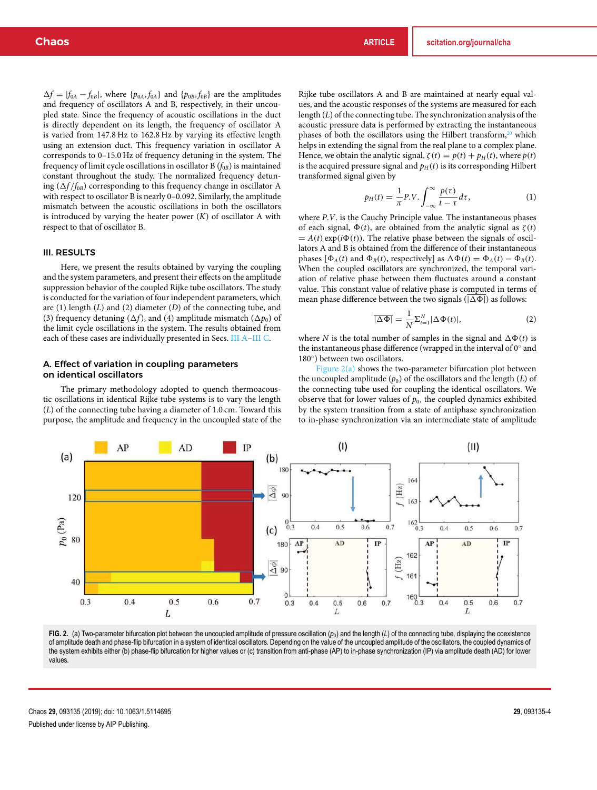$\Delta f = |f_{0A} - f_{0B}|$ , where  $\{p_{0A}, f_{0A}\}\$  and  $\{p_{0B}, f_{0B}\}\$  are the amplitudes and frequency of oscillators A and B, respectively, in their uncoupled state. Since the frequency of acoustic oscillations in the duct is directly dependent on its length, the frequency of oscillator A is varied from 147.8 Hz to 162.8 Hz by varying its effective length using an extension duct. This frequency variation in oscillator A corresponds to 0–15.0 Hz of frequency detuning in the system. The frequency of limit cycle oscillations in oscillator B  $(f_{0B})$  is maintained constant throughout the study. The normalized frequency detuning  $(\Delta f / f_{0B})$  corresponding to this frequency change in oscillator A with respect to oscillator B is nearly 0–0.092. Similarly, the amplitude mismatch between the acoustic oscillations in both the oscillators is introduced by varying the heater power (*K*) of oscillator A with respect to that of oscillator B.

#### III. RESULTS

Here, we present the results obtained by varying the coupling and the system parameters, and present their effects on the amplitude suppression behavior of the coupled Rijke tube oscillators. The study is conducted for the variation of four independent parameters, which are (1) length (*L*) and (2) diameter (*D*) of the connecting tube, and (3) frequency detuning ( $\Delta f$ ), and (4) amplitude mismatch ( $\Delta p_0$ ) of the limit cycle oscillations in the system. The results obtained from each of these cases are individually presented in Secs. III A–III C.

#### A. Effect of variation in coupling parameters on identical oscillators

The primary methodology adopted to quench thermoacoustic oscillations in identical Rijke tube systems is to vary the length (*L*) of the connecting tube having a diameter of 1.0 cm. Toward this purpose, the amplitude and frequency in the uncoupled state of the Rijke tube oscillators A and B are maintained at nearly equal values, and the acoustic responses of the systems are measured for each length (*L*) of the connecting tube. The synchronization analysis of the acoustic pressure data is performed by extracting the instantaneous phases of both the oscillators using the Hilbert transform,<sup>20</sup> which helps in extending the signal from the real plane to a complex plane. Hence, we obtain the analytic signal,  $\zeta(t) = p(t) + p_H(t)$ , where  $p(t)$ is the acquired pressure signal and  $p_H(t)$  is its corresponding Hilbert transformed signal given by

$$
p_H(t) = \frac{1}{\pi} P.V. \int_{-\infty}^{\infty} \frac{p(\tau)}{t - \tau} d\tau, \tag{1}
$$

where *P*.*V*. is the Cauchy Principle value. The instantaneous phases of each signal,  $\Phi(t)$ , are obtained from the analytic signal as  $\zeta(t)$  $= A(t) \exp(i\Phi(t))$ . The relative phase between the signals of oscillators A and B is obtained from the difference of their instantaneous phases  $[\Phi_A(t)$  and  $\Phi_B(t)$ , respectively] as  $\Delta \Phi(t) = \Phi_A(t) - \Phi_B(t)$ . When the coupled oscillators are synchronized, the temporal variation of relative phase between them fluctuates around a constant value. This constant value of relative phase is computed in terms of mean phase difference between the two signals ( $|\Delta \Phi|$ ) as follows:

$$
\overline{|\Delta \Phi|} = \frac{1}{N} \Sigma_{t=1}^{N} |\Delta \Phi(t)|,
$$
\n(2)

where *N* is the total number of samples in the signal and  $\Delta\Phi(t)$  is the instantaneous phase difference (wrapped in the interval of  $0^{\circ}$  and 180◦ ) between two oscillators.

Figure  $2(a)$  shows the two-parameter bifurcation plot between the uncoupled amplitude  $(p_0)$  of the oscillators and the length  $(L)$  of the connecting tube used for coupling the identical oscillators. We observe that for lower values of  $p_0$ , the coupled dynamics exhibited by the system transition from a state of antiphase synchronization to in-phase synchronization via an intermediate state of amplitude



**FIG. 2.** (a) Two-parameter bifurcation plot between the uncoupled amplitude of pressure oscillation  $(p_0)$  and the length  $(L)$  of the connecting tube, displaying the coexistence of amplitude death and phase-flip bifurcation in a system of identical oscillators. Depending on the value of the uncoupled amplitude of the oscillators, the coupled dynamics of the system exhibits either (b) phase-flip bifurcation for higher values or (c) transition from anti-phase (AP) to in-phase synchronization (IP) via amplitude death (AD) for lower values.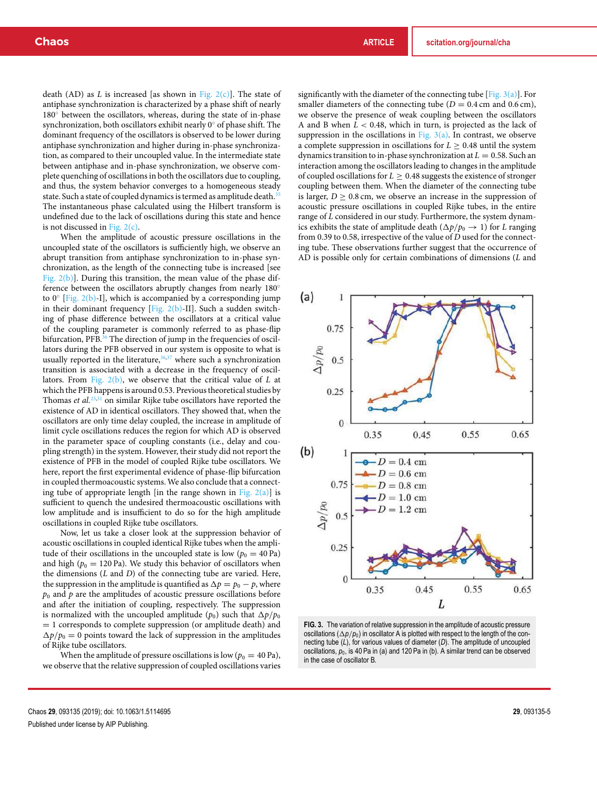death (AD) as *L* is increased [as shown in Fig.  $2(c)$ ]. The state of antiphase synchronization is characterized by a phase shift of nearly 180◦ between the oscillators, whereas, during the state of in-phase synchronization, both oscillators exhibit nearly 0◦ of phase shift. The dominant frequency of the oscillators is observed to be lower during antiphase synchronization and higher during in-phase synchronization, as compared to their uncoupled value. In the intermediate state between antiphase and in-phase synchronization, we observe complete quenching of oscillations in both the oscillators due to coupling, and thus, the system behavior converges to a homogeneous steady state. Such a state of coupled dynamics is termed as amplitude death.<sup>35</sup> The instantaneous phase calculated using the Hilbert transform is undefined due to the lack of oscillations during this state and hence is not discussed in Fig. 2(c).

When the amplitude of acoustic pressure oscillations in the uncoupled state of the oscillators is sufficiently high, we observe an abrupt transition from antiphase synchronization to in-phase synchronization, as the length of the connecting tube is increased [see Fig. 2(b)]. During this transition, the mean value of the phase difference between the oscillators abruptly changes from nearly 180° to  $0°$  [Fig. 2(b)-I], which is accompanied by a corresponding jump in their dominant frequency [Fig.  $2(b)$ -II]. Such a sudden switching of phase difference between the oscillators at a critical value of the coupling parameter is commonly referred to as phase-flip bifurcation, PFB.<sup>36</sup> The direction of jump in the frequencies of oscillators during the PFB observed in our system is opposite to what is usually reported in the literature,  $36,37$  where such a synchronization transition is associated with a decrease in the frequency of oscillators. From Fig. 2(b), we observe that the critical value of *L* at which the PFB happens is around 0.53. Previous theoretical studies by Thomas *et al.*25,31 on similar Rijke tube oscillators have reported the existence of AD in identical oscillators. They showed that, when the oscillators are only time delay coupled, the increase in amplitude of limit cycle oscillations reduces the region for which AD is observed in the parameter space of coupling constants (i.e., delay and coupling strength) in the system. However, their study did not report the existence of PFB in the model of coupled Rijke tube oscillators. We here, report the first experimental evidence of phase-flip bifurcation in coupled thermoacoustic systems. We also conclude that a connecting tube of appropriate length [in the range shown in Fig.  $2(a)$ ] is sufficient to quench the undesired thermoacoustic oscillations with low amplitude and is insufficient to do so for the high amplitude oscillations in coupled Rijke tube oscillators.

Now, let us take a closer look at the suppression behavior of acoustic oscillations in coupled identical Rijke tubes when the amplitude of their oscillations in the uncoupled state is low ( $p_0 = 40$  Pa) and high ( $p_0 = 120$  Pa). We study this behavior of oscillators when the dimensions (*L* and *D*) of the connecting tube are varied. Here, the suppression in the amplitude is quantified as  $\Delta p = p_0 - p$ , where  $p<sub>0</sub>$  and  $p$  are the amplitudes of acoustic pressure oscillations before and after the initiation of coupling, respectively. The suppression is normalized with the uncoupled amplitude  $(p_0)$  such that  $\Delta p/p_0$ = 1 corresponds to complete suppression (or amplitude death) and  $\Delta p/p_0 = 0$  points toward the lack of suppression in the amplitudes of Rijke tube oscillators.

When the amplitude of pressure oscillations is low ( $p_0 = 40$  Pa), we observe that the relative suppression of coupled oscillations varies significantly with the diameter of the connecting tube [Fig.  $3(a)$ ]. For smaller diameters of the connecting tube  $(D = 0.4 \text{ cm and } 0.6 \text{ cm})$ , we observe the presence of weak coupling between the oscillators A and B when *L* < 0.48, which in turn, is projected as the lack of suppression in the oscillations in Fig.  $3(a)$ . In contrast, we observe a complete suppression in oscillations for  $L \geq 0.48$  until the system dynamics transition to in-phase synchronization at  $L = 0.58$ . Such an interaction among the oscillators leading to changes in the amplitude of coupled oscillations for  $L \geq 0.48$  suggests the existence of stronger coupling between them. When the diameter of the connecting tube is larger,  $D \ge 0.8$  cm, we observe an increase in the suppression of acoustic pressure oscillations in coupled Rijke tubes, in the entire range of *L* considered in our study. Furthermore, the system dynamics exhibits the state of amplitude death  $(\Delta p/p_0 \rightarrow 1)$  for *L* ranging from 0.39 to 0.58, irrespective of the value of *D* used for the connecting tube. These observations further suggest that the occurrence of AD is possible only for certain combinations of dimensions (*L* and



**FIG. 3.** The variation of relative suppression in the amplitude of acoustic pressure oscillations  $(\Delta p/p_0)$  in oscillator A is plotted with respect to the length of the connecting tube (*L*), for various values of diameter (*D*). The amplitude of uncoupled oscillations,  $p_0$ , is 40 Pa in (a) and 120 Pa in (b). A similar trend can be observed in the case of oscillator B.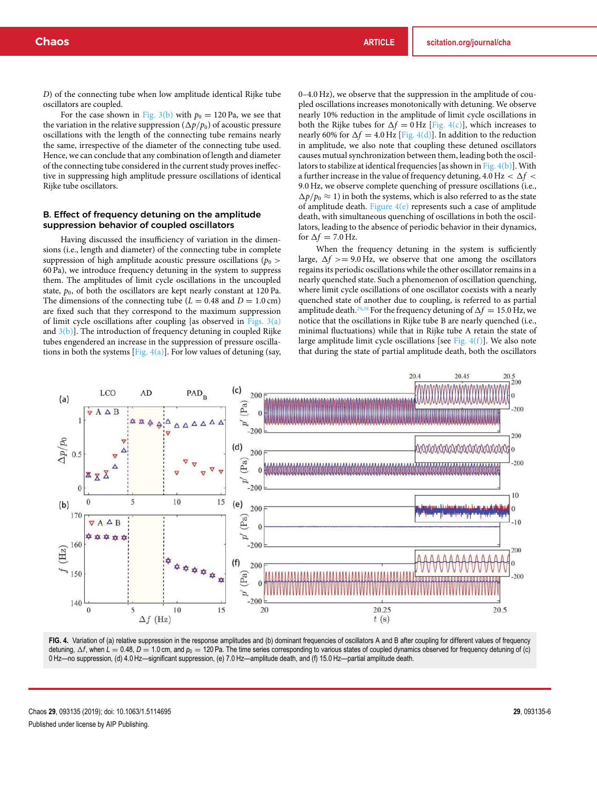*D*) of the connecting tube when low amplitude identical Rijke tube oscillators are coupled.

For the case shown in Fig.  $3(b)$  with  $p_0 = 120$  Pa, we see that the variation in the relative suppression  $(\Delta p/p_0)$  of acoustic pressure oscillations with the length of the connecting tube remains nearly the same, irrespective of the diameter of the connecting tube used. Hence, we can conclude that any combination of length and diameter of the connecting tube considered in the current study proves ineffective in suppressing high amplitude pressure oscillations of identical Rijke tube oscillators.

### B. Effect of frequency detuning on the amplitude suppression behavior of coupled oscillators

Having discussed the insufficiency of variation in the dimensions (i.e., length and diameter) of the connecting tube in complete suppression of high amplitude acoustic pressure oscillations ( $p_0$ ) 60 Pa), we introduce frequency detuning in the system to suppress them. The amplitudes of limit cycle oscillations in the uncoupled state,  $p_0$ , of both the oscillators are kept nearly constant at 120 Pa. The dimensions of the connecting tube ( $L = 0.48$  and  $D = 1.0$  cm) are fixed such that they correspond to the maximum suppression of limit cycle oscillations after coupling [as observed in Figs. 3(a) and  $3(b)$ ]. The introduction of frequency detuning in coupled Rijke tubes engendered an increase in the suppression of pressure oscillations in both the systems [Fig.  $4(a)$ ]. For low values of detuning (say,

0–4.0 Hz), we observe that the suppression in the amplitude of coupled oscillations increases monotonically with detuning. We observe nearly 10% reduction in the amplitude of limit cycle oscillations in both the Rijke tubes for  $\Delta f = 0$  Hz [Fig. 4(c)], which increases to nearly 60% for  $\Delta f = 4.0$  Hz [Fig. 4(d)]. In addition to the reduction in amplitude, we also note that coupling these detuned oscillators causes mutual synchronization between them, leading both the oscillators to stabilize at identical frequencies [as shown in Fig.  $4(b)$ ]. With a further increase in the value of frequency detuning,  $4.0 \text{ Hz} < \Delta f <$ 9.0 Hz, we observe complete quenching of pressure oscillations (i.e.,  $\Delta p/p_0 \approx 1$ ) in both the systems, which is also referred to as the state of amplitude death. Figure  $4(e)$  represents such a case of amplitude death, with simultaneous quenching of oscillations in both the oscillators, leading to the absence of periodic behavior in their dynamics, for  $\Delta f = 7.0$  Hz.

When the frequency detuning in the system is sufficiently large,  $\Delta f$  > = 9.0 Hz, we observe that one among the oscillators regains its periodic oscillations while the other oscillator remains in a nearly quenched state. Such a phenomenon of oscillation quenching, where limit cycle oscillations of one oscillator coexists with a nearly quenched state of another due to coupling, is referred to as partial amplitude death.<sup>29,38</sup> For the frequency detuning of  $\Delta f = 15.0$  Hz, we notice that the oscillations in Rijke tube B are nearly quenched (i.e., minimal fluctuations) while that in Rijke tube A retain the state of large amplitude limit cycle oscillations [see Fig.  $4(f)$ ]. We also note that during the state of partial amplitude death, both the oscillators



FIG. 4. Variation of (a) relative suppression in the response amplitudes and (b) dominant frequencies of oscillators A and B after coupling for different values of frequency detuning,  $\Delta f$ , when  $L = 0.48$ ,  $D = 1.0$  cm, and  $p_0 = 120$  Pa. The time series corresponding to various states of coupled dynamics observed for frequency detuning of (c) 0 Hz—no suppression, (d) 4.0 Hz—significant suppression, (e) 7.0 Hz—amplitude death, and (f) 15.0 Hz—partial amplitude death.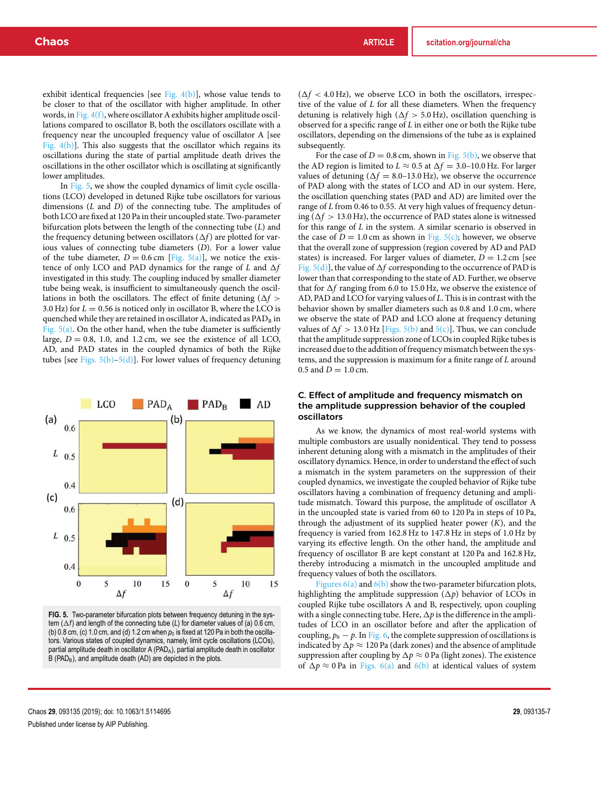exhibit identical frequencies [see Fig.  $4(b)$ ], whose value tends to be closer to that of the oscillator with higher amplitude. In other words, in Fig.  $4(f)$ , where oscillator A exhibits higher amplitude oscillations compared to oscillator B, both the oscillators oscillate with a frequency near the uncoupled frequency value of oscillator A [see Fig. 4(b)]. This also suggests that the oscillator which regains its oscillations during the state of partial amplitude death drives the oscillations in the other oscillator which is oscillating at significantly lower amplitudes.

In Fig. 5, we show the coupled dynamics of limit cycle oscillations (LCO) developed in detuned Rijke tube oscillators for various dimensions (*L* and *D*) of the connecting tube. The amplitudes of both LCO are fixed at 120 Pa in their uncoupled state. Two-parameter bifurcation plots between the length of the connecting tube (*L*) and the frequency detuning between oscillators  $(\Delta f)$  are plotted for various values of connecting tube diameters (*D*). For a lower value of the tube diameter,  $D = 0.6$  cm [Fig.  $5(a)$ ], we notice the existence of only LCO and PAD dynamics for the range of  $L$  and  $\Delta f$ investigated in this study. The coupling induced by smaller diameter tube being weak, is insufficient to simultaneously quench the oscillations in both the oscillators. The effect of finite detuning  $(\Delta f >$ 3.0 Hz) for  $L = 0.56$  is noticed only in oscillator B, where the LCO is quenched while they are retained in oscillator A, indicated as  $PAD<sub>B</sub>$  in Fig.  $5(a)$ . On the other hand, when the tube diameter is sufficiently large,  $D = 0.8$ , 1.0, and 1.2 cm, we see the existence of all LCO, AD, and PAD states in the coupled dynamics of both the Rijke tubes [see Figs.  $5(b)$ – $5(d)$ ]. For lower values of frequency detuning



**FIG. 5.** Two-parameter bifurcation plots between frequency detuning in the system  $(\Delta f)$  and length of the connecting tube (*L*) for diameter values of (a) 0.6 cm, (b) 0.8 cm, (c) 1.0 cm, and (d) 1.2 cm when  $p_0$  is fixed at 120 Pa in both the oscillators. Various states of coupled dynamics, namely, limit cycle oscillations (LCOs), partial amplitude death in oscillator A (PAD<sub>A</sub>), partial amplitude death in oscillator B (PAD<sub>B</sub>), and amplitude death (AD) are depicted in the plots.

 $(\Delta f < 4.0 \text{ Hz})$ , we observe LCO in both the oscillators, irrespective of the value of *L* for all these diameters. When the frequency detuning is relatively high ( $\Delta f > 5.0$  Hz), oscillation quenching is observed for a specific range of *L* in either one or both the Rijke tube oscillators, depending on the dimensions of the tube as is explained subsequently.

For the case of  $D = 0.8$  cm, shown in Fig. 5(b), we observe that the AD region is limited to  $L \approx 0.5$  at  $\Delta f = 3.0$ –10.0 Hz. For larger values of detuning  $(\Delta f = 8.0 - 13.0 \text{ Hz})$ , we observe the occurrence of PAD along with the states of LCO and AD in our system. Here, the oscillation quenching states (PAD and AD) are limited over the range of *L* from 0.46 to 0.55. At very high values of frequency detuning ( $\Delta f > 13.0$  Hz), the occurrence of PAD states alone is witnessed for this range of *L* in the system. A similar scenario is observed in the case of  $D = 1.0$  cm as shown in Fig.  $5(c)$ ; however, we observe that the overall zone of suppression (region covered by AD and PAD states) is increased. For larger values of diameter,  $D = 1.2$  cm [see Fig.  $5(d)$ ], the value of  $\Delta f$  corresponding to the occurrence of PAD is lower than that corresponding to the state of AD. Further, we observe that for  $\Delta f$  ranging from 6.0 to 15.0 Hz, we observe the existence of AD, PAD and LCO for varying values of *L*. This is in contrast with the behavior shown by smaller diameters such as 0.8 and 1.0 cm, where we observe the state of PAD and LCO alone at frequency detuning values of  $\Delta f > 13.0$  Hz [Figs. 5(b) and  $5(c)$ ]. Thus, we can conclude that the amplitude suppression zone of LCOs in coupled Rijke tubes is increased due to the addition of frequency mismatch between the systems, and the suppression is maximum for a finite range of *L* around 0.5 and  $D = 1.0$  cm.

### C. Effect of amplitude and frequency mismatch on the amplitude suppression behavior of the coupled oscillators

As we know, the dynamics of most real-world systems with multiple combustors are usually nonidentical. They tend to possess inherent detuning along with a mismatch in the amplitudes of their oscillatory dynamics. Hence, in order to understand the effect of such a mismatch in the system parameters on the suppression of their coupled dynamics, we investigate the coupled behavior of Rijke tube oscillators having a combination of frequency detuning and amplitude mismatch. Toward this purpose, the amplitude of oscillator A in the uncoupled state is varied from 60 to 120 Pa in steps of 10 Pa, through the adjustment of its supplied heater power (*K*), and the frequency is varied from 162.8 Hz to 147.8 Hz in steps of 1.0 Hz by varying its effective length. On the other hand, the amplitude and frequency of oscillator B are kept constant at 120 Pa and 162.8 Hz, thereby introducing a mismatch in the uncoupled amplitude and frequency values of both the oscillators.

Figures  $6(a)$  and  $6(b)$  show the two-parameter bifurcation plots, highlighting the amplitude suppression  $(\Delta p)$  behavior of LCOs in coupled Rijke tube oscillators A and B, respectively, upon coupling with a single connecting tube. Here,  $\Delta p$  is the difference in the amplitudes of LCO in an oscillator before and after the application of coupling,  $p_0 - p$ . In Fig. 6, the complete suppression of oscillations is indicated by  $\Delta p \approx 120$  Pa (dark zones) and the absence of amplitude suppression after coupling by  $\Delta p \approx 0$  Pa (light zones). The existence of  $\Delta p \approx 0$  Pa in Figs. 6(a) and 6(b) at identical values of system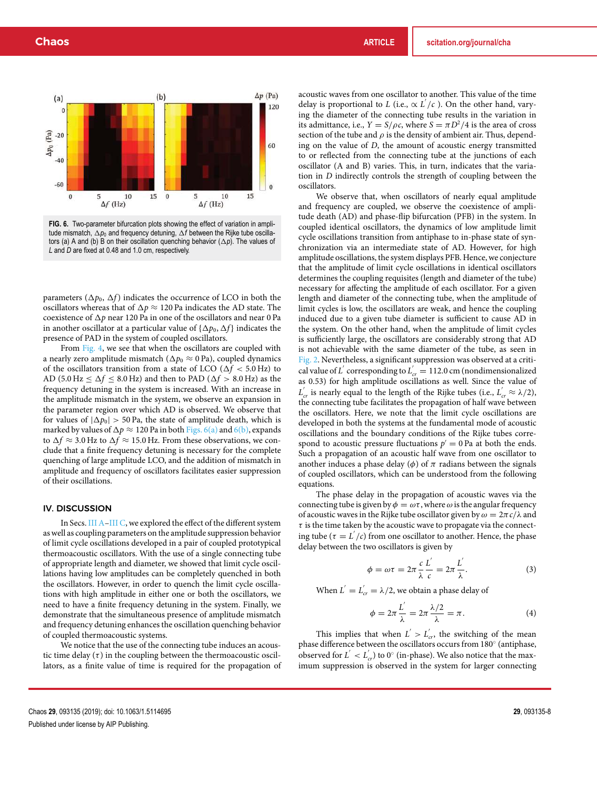

**FIG. 6.** Two-parameter bifurcation plots showing the effect of variation in amplitude mismatch,  $\Delta p_0$  and frequency detuning,  $\Delta f$  between the Rijke tube oscillators (a) A and (b) B on their oscillation quenching behavior  $(\Delta p)$ . The values of *L* and *D* are fixed at 0.48 and 1.0 cm, respectively.

parameters ( $\Delta p_0$ ,  $\Delta f$ ) indicates the occurrence of LCO in both the oscillators whereas that of  $\Delta p \approx 120$  Pa indicates the AD state. The coexistence of  $\Delta p$  near 120 Pa in one of the oscillators and near 0 Pa in another oscillator at a particular value of  $\{\Delta p_0, \Delta f\}$  indicates the presence of PAD in the system of coupled oscillators.

From Fig. 4, we see that when the oscillators are coupled with a nearly zero amplitude mismatch ( $\Delta p_0 \approx 0$  Pa), coupled dynamics of the oscillators transition from a state of LCO ( $\Delta f < 5.0$  Hz) to AD (5.0 Hz  $< \Delta f < 8.0$  Hz) and then to PAD ( $\Delta f > 8.0$  Hz) as the frequency detuning in the system is increased. With an increase in the amplitude mismatch in the system, we observe an expansion in the parameter region over which AD is observed. We observe that for values of  $|\Delta p_0| > 50$  Pa, the state of amplitude death, which is marked by values of  $\Delta p \approx 120$  Pa in both Figs. 6(a) and 6(b), expands to  $\Delta f \approx$  3.0 Hz to  $\Delta f \approx$  15.0 Hz. From these observations, we conclude that a finite frequency detuning is necessary for the complete quenching of large amplitude LCO, and the addition of mismatch in amplitude and frequency of oscillators facilitates easier suppression of their oscillations.

#### IV. DISCUSSION

In Secs. III A–III C, we explored the effect of the different system as well as coupling parameters on the amplitude suppression behavior of limit cycle oscillations developed in a pair of coupled prototypical thermoacoustic oscillators. With the use of a single connecting tube of appropriate length and diameter, we showed that limit cycle oscillations having low amplitudes can be completely quenched in both the oscillators. However, in order to quench the limit cycle oscillations with high amplitude in either one or both the oscillators, we need to have a finite frequency detuning in the system. Finally, we demonstrate that the simultaneous presence of amplitude mismatch and frequency detuning enhances the oscillation quenching behavior of coupled thermoacoustic systems.

We notice that the use of the connecting tube induces an acoustic time delay  $(\tau)$  in the coupling between the thermoacoustic oscillators, as a finite value of time is required for the propagation of acoustic waves from one oscillator to another. This value of the time delay is proportional to *L* (i.e.,  $\propto L'/c$  ). On the other hand, varying the diameter of the connecting tube results in the variation in its admittance, i.e.,  $Y = S/\rho c$ , where  $S = \pi D^2/4$  is the area of cross section of the tube and  $\rho$  is the density of ambient air. Thus, depending on the value of *D*, the amount of acoustic energy transmitted to or reflected from the connecting tube at the junctions of each oscillator (A and B) varies. This, in turn, indicates that the variation in *D* indirectly controls the strength of coupling between the oscillators.

We observe that, when oscillators of nearly equal amplitude and frequency are coupled, we observe the coexistence of amplitude death (AD) and phase-flip bifurcation (PFB) in the system. In coupled identical oscillators, the dynamics of low amplitude limit cycle oscillations transition from antiphase to in-phase state of synchronization via an intermediate state of AD. However, for high amplitude oscillations, the system displays PFB. Hence, we conjecture that the amplitude of limit cycle oscillations in identical oscillators determines the coupling requisites (length and diameter of the tube) necessary for affecting the amplitude of each oscillator. For a given length and diameter of the connecting tube, when the amplitude of limit cycles is low, the oscillators are weak, and hence the coupling induced due to a given tube diameter is sufficient to cause AD in the system. On the other hand, when the amplitude of limit cycles is sufficiently large, the oscillators are considerably strong that AD is not achievable with the same diameter of the tube, as seen in Fig. 2. Nevertheless, a significant suppression was observed at a critical value of *L*<sup> $\prime$ </sup> corresponding to  $L'_{cr} = 112.0$  cm (nondimensionalized as 0.53) for high amplitude oscillations as well. Since the value of  $L'_{cr}$  is nearly equal to the length of the Rijke tubes (i.e.,  $L'_{cr} \approx \lambda/2$ ), the connecting tube facilitates the propagation of half wave between the oscillators. Here, we note that the limit cycle oscillations are developed in both the systems at the fundamental mode of acoustic oscillations and the boundary conditions of the Rijke tubes correspond to acoustic pressure fluctuations  $p' = 0$  Pa at both the ends. Such a propagation of an acoustic half wave from one oscillator to another induces a phase delay ( $\phi$ ) of  $\pi$  radians between the signals of coupled oscillators, which can be understood from the following equations.

The phase delay in the propagation of acoustic waves via the connecting tube is given by  $\phi = \omega \tau$ , where  $\omega$  is the angular frequency of acoustic waves in the Rijke tube oscillator given by  $\omega = 2\pi c/\lambda$  and  $\tau$  is the time taken by the acoustic wave to propagate via the connecting tube ( $\tau = L'/c$ ) from one oscillator to another. Hence, the phase delay between the two oscillators is given by

$$
\phi = \omega \tau = 2\pi \frac{c}{\lambda} \frac{L'}{c} = 2\pi \frac{L'}{\lambda}.
$$
 (3)

When  $L^{'} = L^{'}_{cr} = \lambda/2$ , we obtain a phase delay of

$$
\phi = 2\pi \frac{L^{'}}{\lambda} = 2\pi \frac{\lambda/2}{\lambda} = \pi.
$$
\n(4)

This implies that when  $L' > L'_{cr}$ , the switching of the mean phase difference between the oscillators occurs from 180 $^{\circ}$  (antiphase, observed for  $L' < L'_{cr}$ ) to  $0^\circ$  (in-phase). We also notice that the maximum suppression is observed in the system for larger connecting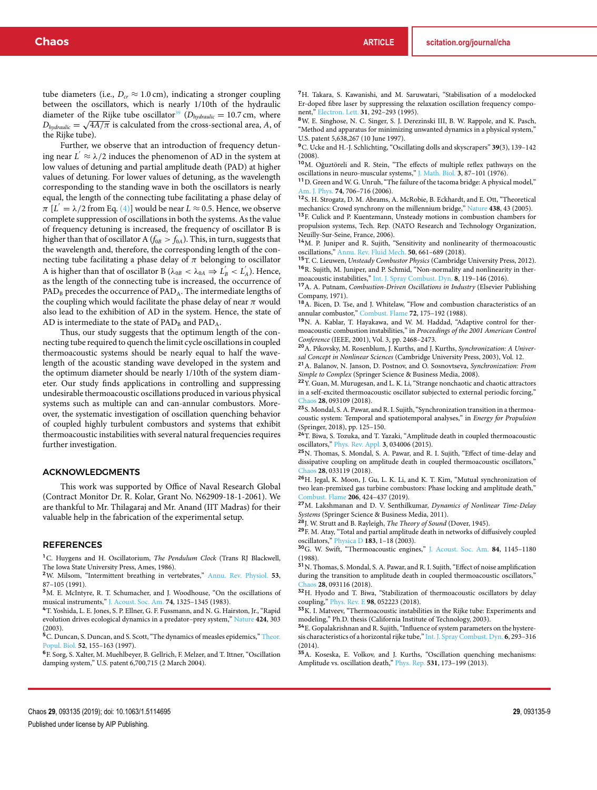tube diameters (i.e.,  $D_{cr} \approx 1.0 \text{ cm}$ ), indicating a stronger coupling between the oscillators, which is nearly 1/10th of the hydraulic diameter of the Rijke tube oscillator<sup>39</sup> ( $D_{hydraulic} = 10.7$  cm, where  $D_{\text{hydraulic}} = \sqrt{4A/\pi}$  is calculated from the cross-sectional area, *A*, of the Rijke tube).

Further, we observe that an introduction of frequency detuning near  $L' \approx \lambda/2$  induces the phenomenon of AD in the system at low values of detuning and partial amplitude death (PAD) at higher values of detuning. For lower values of detuning, as the wavelength corresponding to the standing wave in both the oscillators is nearly equal, the length of the connecting tube facilitating a phase delay of  $\pi$  [ $L' = \lambda/2$  from Eq. (4)] would be near  $L \approx 0.5$ . Hence, we observe complete suppression of oscillations in both the systems. As the value of frequency detuning is increased, the frequency of oscillator B is higher than that of oscillator A ( $f_{0B} > f_{0A}$ ). This, in turn, suggests that the wavelength and, therefore, the corresponding length of the connecting tube facilitating a phase delay of  $\pi$  belonging to oscillator A is higher than that of oscillator B ( $\lambda_{0B} < \lambda_{0A} \Rightarrow L'_B < L'_A$ ). Hence, as the length of the connecting tube is increased, the occurrence of PAD<sub>B</sub> precedes the occurrence of PAD<sub>A</sub>. The intermediate lengths of the coupling which would facilitate the phase delay of near  $\pi$  would also lead to the exhibition of AD in the system. Hence, the state of AD is intermediate to the state of  $PAD_B$  and  $PAD_A$ .

Thus, our study suggests that the optimum length of the connecting tube required to quench the limit cycle oscillations in coupled thermoacoustic systems should be nearly equal to half the wavelength of the acoustic standing wave developed in the system and the optimum diameter should be nearly 1/10th of the system diameter. Our study finds applications in controlling and suppressing undesirable thermoacoustic oscillations produced in various physical systems such as multiple can and can-annular combustors. Moreover, the systematic investigation of oscillation quenching behavior of coupled highly turbulent combustors and systems that exhibit thermoacoustic instabilities with several natural frequencies requires further investigation.

#### ACKNOWLEDGMENTS

This work was supported by Office of Naval Research Global (Contract Monitor Dr. R. Kolar, Grant No. N62909-18-1-2061). We are thankful to Mr. Thilagaraj and Mr. Anand (IIT Madras) for their valuable help in the fabrication of the experimental setup.

#### REFERENCES

<sup>1</sup>C. Huygens and H. Oscillatorium, *The Pendulum Clock* (Trans RJ Blackwell, The Iowa State University Press, Ames, 1986).

<sup>2</sup>W. Milsom, "Intermittent breathing in vertebrates," Annu. Rev. Physiol. **53**, 87–105 (1991).

<sup>3</sup>M. E. McIntyre, R. T. Schumacher, and J. Woodhouse, "On the oscillations of musical instruments," J. Acoust. Soc. Am. **74**, 1325–1345 (1983).

<sup>4</sup>T. Yoshida, L. E. Jones, S. P. Ellner, G. F. Fussmann, and N. G. Hairston, Jr., "Rapid evolution drives ecological dynamics in a predator–prey system," Nature **424**, 303

(2003).<br><sup>5</sup>C. Duncan, S. Duncan, and S. Scott, "The dynamics of measles epidemics," <u>Theor.</u> Popul. Biol. **52**, 155–163 (1997).

<sup>6</sup>F. Sorg, S. Xalter, M. Muehlbeyer, B. Gellrich, F. Melzer, and T. Ittner, "Oscillation damping system," U.S. patent 6,700,715 (2 March 2004).

<sup>7</sup>H. Takara, S. Kawanishi, and M. Saruwatari, "Stabilisation of a modelocked Er-doped fibre laser by suppressing the relaxation oscillation frequency component," Electron. Lett. **31**, 292–293 (1995).

<sup>8</sup>W. E. Singhose, N. C. Singer, S. J. Derezinski III, B. W. Rappole, and K. Pasch, "Method and apparatus for minimizing unwanted dynamics in a physical system," U.S. patent 5,638,267 (10 June 1997).

<sup>9</sup>C. Ucke and H.-J. Schlichting, "Oscillating dolls and skyscrapers" **39**(3), 139–142 (2008).

<sup>10</sup>M. Oğuztöreli and R. Stein, "The effects of multiple reflex pathways on the oscillations in neuro-muscular systems," J. Math. Biol. **3**, 87–101 (1976).

<sup>11</sup> D. Green and W. G. Unruh, "The failure of the tacoma bridge: A physical model," Am. J. Phys. **74**, 706–716 (2006).

<sup>12</sup>S. H. Strogatz, D. M. Abrams, A. McRobie, B. Eckhardt, and E. Ott, "Theoretical mechanics: Crowd synchrony on the millennium bridge," Nature **438**, 43 (2005).

<sup>13</sup>F. Culick and P. Kuentzmann, Unsteady motions in combustion chambers for propulsion systems, Tech. Rep. (NATO Research and Technology Organization, Neuilly-Sur-Seine, France, 2006).

<sup>14</sup>M. P. Juniper and R. Sujith, "Sensitivity and nonlinearity of thermoacoustic oscillations," Annu. Rev. Fluid Mech. **50**, 661–689 (2018).

<sup>15</sup>T. C. Lieuwen, *Unsteady Combustor Physics* (Cambridge University Press, 2012). <sup>16</sup>R. Sujith, M. Juniper, and P. Schmid, "Non-normality and nonlinearity in ther-

moacoustic instabilities," Int. J. Spray Combust. Dyn. **8**, 119–146 (2016). <sup>17</sup>A. A. Putnam, *Combustion-Driven Oscillations in Industry* (Elsevier Publishing Company, 1971).

<sup>18</sup>A. Bicen, D. Tse, and J. Whitelaw, "Flow and combustion characteristics of an annular combustor," Combust. Flame **72**, 175–192 (1988).

<sup>19</sup>N. A. Kablar, T. Hayakawa, and W. M. Haddad, "Adaptive control for thermoacoustic combustion instabilities," in *Proceedings of the 2001 American Control Conference* (IEEE, 2001), Vol. 3, pp. 2468–2473.

<sup>20</sup>A. Pikovsky, M. Rosenblum, J. Kurths, and J. Kurths, *Synchronization: A Universal Concept in Nonlinear Sciences* (Cambridge University Press, 2003), Vol. 12.

<sup>21</sup>A. Balanov, N. Janson, D. Postnov, and O. Sosnovtseva, *Synchronization: From Simple to Complex* (Springer Science & Business Media, 2008).

<sup>22</sup>Y. Guan, M. Murugesan, and L. K. Li, "Strange nonchaotic and chaotic attractors in a self-excited thermoacoustic oscillator subjected to external periodic forcing," Chaos **28**, 093109 (2018).

<sup>23</sup>S. Mondal, S. A. Pawar, and R. I. Sujith, "Synchronization transition in a thermoacoustic system: Temporal and spatiotemporal analyses," in *Energy for Propulsion*

(Springer, 2018), pp. 125–150.<br><sup>24</sup>T. Biwa, S. Tozuka, and T. Yazaki, "Amplitude death in coupled thermoacoustic oscillators," Phys. Rev. Appl. **3**, 034006 (2015).

<sup>25</sup>N. Thomas, S. Mondal, S. A. Pawar, and R. I. Sujith, "Effect of time-delay and dissipative coupling on amplitude death in coupled thermoacoustic oscillators," Chaos **28**, 033119 (2018).

<sup>26</sup>H. Jegal, K. Moon, J. Gu, L. K. Li, and K. T. Kim, "Mutual synchronization of two lean-premixed gas turbine combustors: Phase locking and amplitude death," Combust. Flame **206**, 424–437 (2019).

<sup>27</sup>M. Lakshmanan and D. V. Senthilkumar, *Dynamics of Nonlinear Time-Delay*

*Systems* (Springer Science & Business Media, 2011). <sup>28</sup>J. W. Strutt and B. Rayleigh, *The Theory of Sound* (Dover, 1945).

 $^{\mathbf{29}F\!}$  M. Atay, "Total and partial amplitude death in networks of diffusively coupled oscillators," Physica D **183**, 1–18 (2003).

<sup>30</sup>G. W. Swift, "Thermoacoustic engines," J. Acoust. Soc. Am. **84**, 1145–1180 (1988).

<sup>31</sup>N. Thomas, S. Mondal, S. A. Pawar, and R. I. Sujith, "Effect of noise amplification during the transition to amplitude death in coupled thermoacoustic oscillators," Chaos **28**, 093116 (2018).

<sup>32</sup>H. Hyodo and T. Biwa, "Stabilization of thermoacoustic oscillators by delay coupling," Phys. Rev. E **98**, 052223 (2018).

<sup>33</sup>K. I. Matveev, "Thermoacoustic instabilities in the Rijke tube: Experiments and modeling," Ph.D. thesis (California Institute of Technology, 2003).

<sup>34</sup>E. Gopalakrishnan and R. Sujith, "Influence of system parameters on the hysteresis characteristics of a horizontal rijke tube," Int. J. Spray Combust. Dyn. **6**, 293–316 (2014).

<sup>35</sup>A. Koseska, E. Volkov, and J. Kurths, "Oscillation quenching mechanisms: Amplitude vs. oscillation death," Phys. Rep. **531**, 173–199 (2013).